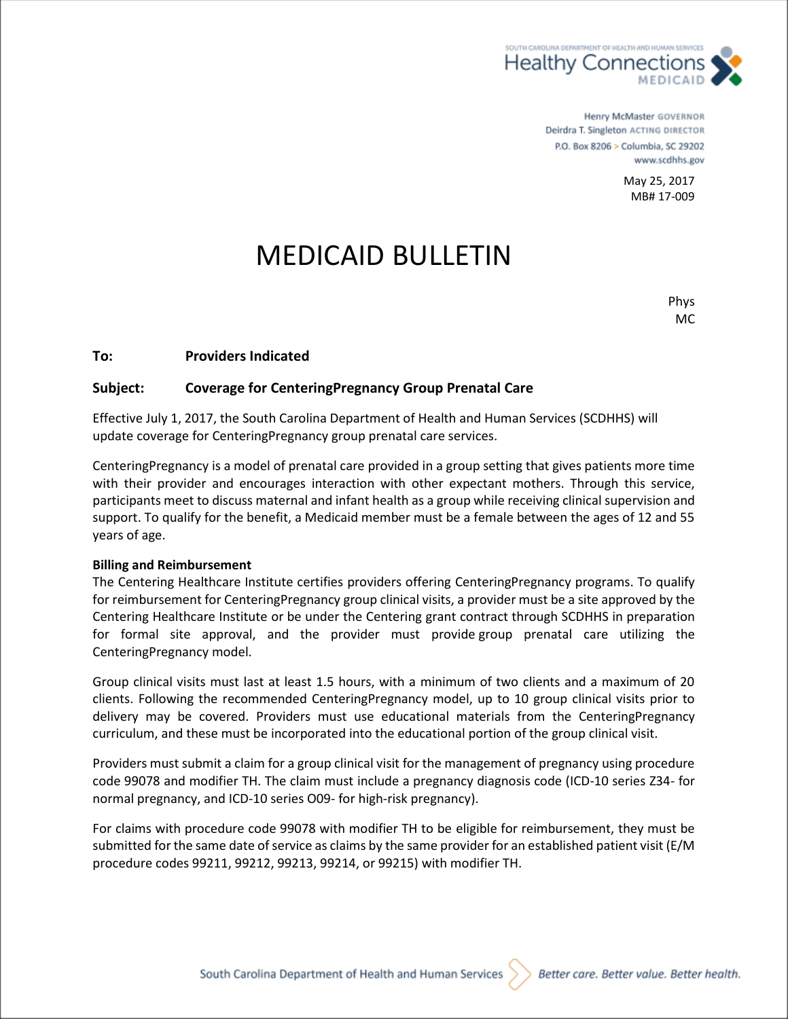

Henry McMaster GOVERNOR Deirdra T. Singleton ACTING DIRECTOR P.O. Box 8206 > Columbia, SC 29202 www.scdhhs.gov

> May 25, 2017 MB# 17-009

## MEDICAID BULLETIN

Phys MC

## **To: Providers Indicated**

## **Subject: Coverage for CenteringPregnancy Group Prenatal Care**

Effective July 1, 2017, the South Carolina Department of Health and Human Services (SCDHHS) will update coverage for CenteringPregnancy group prenatal care services.

CenteringPregnancy is a model of prenatal care provided in a group setting that gives patients more time with their provider and encourages interaction with other expectant mothers. Through this service, participants meet to discuss maternal and infant health as a group while receiving clinical supervision and support. To qualify for the benefit, a Medicaid member must be a female between the ages of 12 and 55 years of age.

## **Billing and Reimbursement**

The Centering Healthcare Institute certifies providers offering CenteringPregnancy programs. To qualify for reimbursement for CenteringPregnancy group clinical visits, a provider must be a site approved by the Centering Healthcare Institute or be under the Centering grant contract through SCDHHS in preparation for formal site approval, and the provider must provide group prenatal care utilizing the CenteringPregnancy model.

Group clinical visits must last at least 1.5 hours, with a minimum of two clients and a maximum of 20 clients. Following the recommended CenteringPregnancy model, up to 10 group clinical visits prior to delivery may be covered. Providers must use educational materials from the CenteringPregnancy curriculum, and these must be incorporated into the educational portion of the group clinical visit.

Providers must submit a claim for a group clinical visit for the management of pregnancy using procedure code 99078 and modifier TH. The claim must include a pregnancy diagnosis code (ICD-10 series Z34- for normal pregnancy, and ICD-10 series O09- for high-risk pregnancy).

For claims with procedure code 99078 with modifier TH to be eligible for reimbursement, they must be submitted for the same date of service as claims by the same provider for an established patient visit (E/M procedure codes 99211, 99212, 99213, 99214, or 99215) with modifier TH.